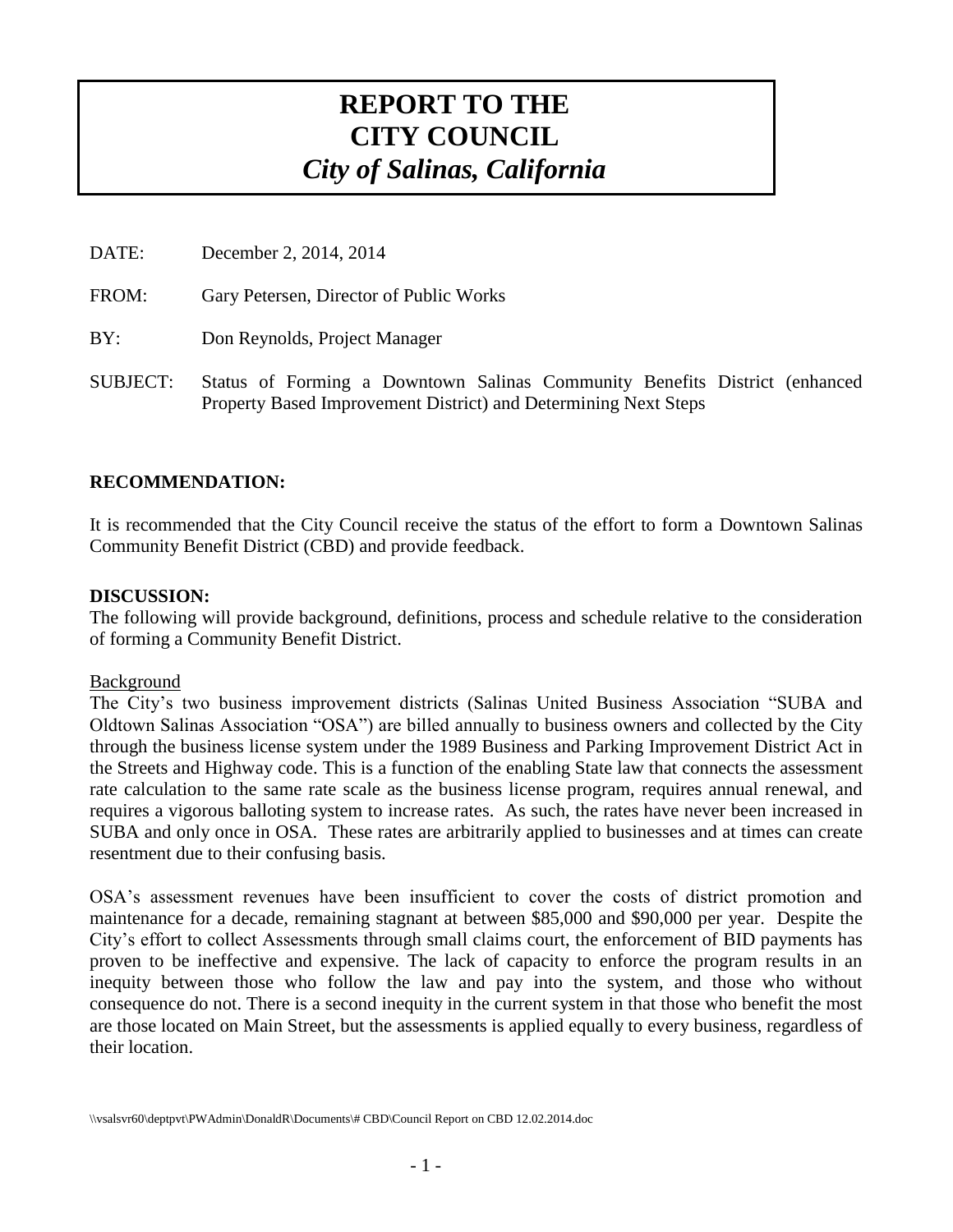# **REPORT TO THE CITY COUNCIL** *City of Salinas, California*

DATE: December 2, 2014, 2014

FROM: Gary Petersen, Director of Public Works

BY: Don Reynolds, Project Manager

SUBJECT: Status of Forming a Downtown Salinas Community Benefits District (enhanced Property Based Improvement District) and Determining Next Steps

#### **RECOMMENDATION:**

It is recommended that the City Council receive the status of the effort to form a Downtown Salinas Community Benefit District (CBD) and provide feedback.

#### **DISCUSSION:**

The following will provide background, definitions, process and schedule relative to the consideration of forming a Community Benefit District.

#### Background

The City's two business improvement districts (Salinas United Business Association "SUBA and Oldtown Salinas Association "OSA") are billed annually to business owners and collected by the City through the business license system under the 1989 Business and Parking Improvement District Act in the Streets and Highway code. This is a function of the enabling State law that connects the assessment rate calculation to the same rate scale as the business license program, requires annual renewal, and requires a vigorous balloting system to increase rates. As such, the rates have never been increased in SUBA and only once in OSA. These rates are arbitrarily applied to businesses and at times can create resentment due to their confusing basis.

OSA's assessment revenues have been insufficient to cover the costs of district promotion and maintenance for a decade, remaining stagnant at between \$85,000 and \$90,000 per year. Despite the City's effort to collect Assessments through small claims court, the enforcement of BID payments has proven to be ineffective and expensive. The lack of capacity to enforce the program results in an inequity between those who follow the law and pay into the system, and those who without consequence do not. There is a second inequity in the current system in that those who benefit the most are those located on Main Street, but the assessments is applied equally to every business, regardless of their location.

<sup>\\</sup>vsalsvr60\deptpvt\PWAdmin\DonaldR\Documents\# CBD\Council Report on CBD 12.02.2014.doc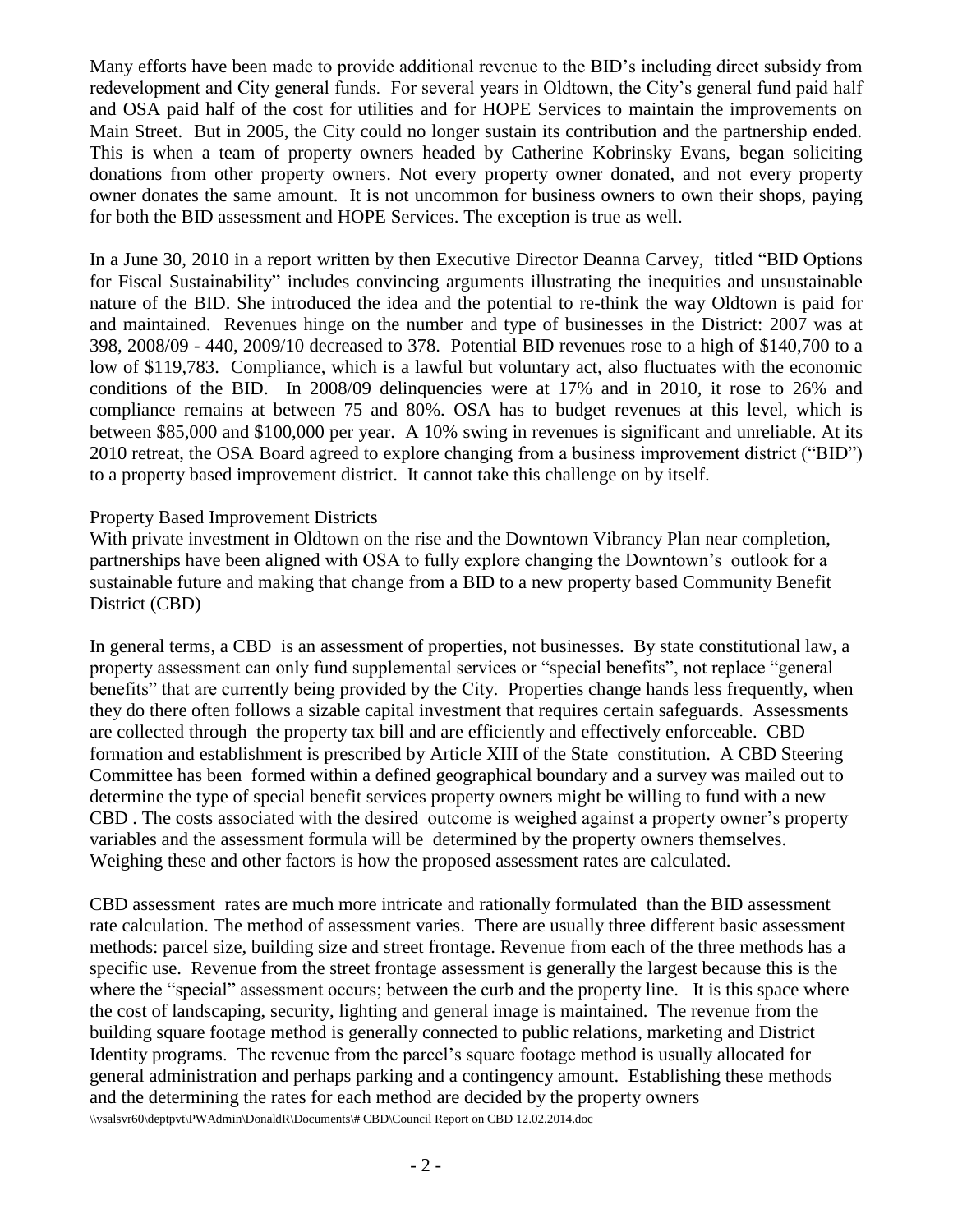Many efforts have been made to provide additional revenue to the BID's including direct subsidy from redevelopment and City general funds. For several years in Oldtown, the City's general fund paid half and OSA paid half of the cost for utilities and for HOPE Services to maintain the improvements on Main Street. But in 2005, the City could no longer sustain its contribution and the partnership ended. This is when a team of property owners headed by Catherine Kobrinsky Evans, began soliciting donations from other property owners. Not every property owner donated, and not every property owner donates the same amount. It is not uncommon for business owners to own their shops, paying for both the BID assessment and HOPE Services. The exception is true as well.

In a June 30, 2010 in a report written by then Executive Director Deanna Carvey, titled "BID Options for Fiscal Sustainability" includes convincing arguments illustrating the inequities and unsustainable nature of the BID. She introduced the idea and the potential to re-think the way Oldtown is paid for and maintained. Revenues hinge on the number and type of businesses in the District: 2007 was at 398, 2008/09 - 440, 2009/10 decreased to 378. Potential BID revenues rose to a high of \$140,700 to a low of \$119,783. Compliance, which is a lawful but voluntary act, also fluctuates with the economic conditions of the BID. In 2008/09 delinquencies were at 17% and in 2010, it rose to 26% and compliance remains at between 75 and 80%. OSA has to budget revenues at this level, which is between \$85,000 and \$100,000 per year. A 10% swing in revenues is significant and unreliable. At its 2010 retreat, the OSA Board agreed to explore changing from a business improvement district ("BID") to a property based improvement district. It cannot take this challenge on by itself.

#### Property Based Improvement Districts

With private investment in Oldtown on the rise and the Downtown Vibrancy Plan near completion, partnerships have been aligned with OSA to fully explore changing the Downtown's outlook for a sustainable future and making that change from a BID to a new property based Community Benefit District (CBD)

In general terms, a CBD is an assessment of properties, not businesses. By state constitutional law, a property assessment can only fund supplemental services or "special benefits", not replace "general benefits" that are currently being provided by the City. Properties change hands less frequently, when they do there often follows a sizable capital investment that requires certain safeguards. Assessments are collected through the property tax bill and are efficiently and effectively enforceable. CBD formation and establishment is prescribed by Article XIII of the State constitution. A CBD Steering Committee has been formed within a defined geographical boundary and a survey was mailed out to determine the type of special benefit services property owners might be willing to fund with a new CBD . The costs associated with the desired outcome is weighed against a property owner's property variables and the assessment formula will be determined by the property owners themselves. Weighing these and other factors is how the proposed assessment rates are calculated.

\\vsalsvr60\deptpvt\PWAdmin\DonaldR\Documents\# CBD\Council Report on CBD 12.02.2014.doc CBD assessment rates are much more intricate and rationally formulated than the BID assessment rate calculation. The method of assessment varies. There are usually three different basic assessment methods: parcel size, building size and street frontage. Revenue from each of the three methods has a specific use. Revenue from the street frontage assessment is generally the largest because this is the where the "special" assessment occurs; between the curb and the property line. It is this space where the cost of landscaping, security, lighting and general image is maintained. The revenue from the building square footage method is generally connected to public relations, marketing and District Identity programs. The revenue from the parcel's square footage method is usually allocated for general administration and perhaps parking and a contingency amount. Establishing these methods and the determining the rates for each method are decided by the property owners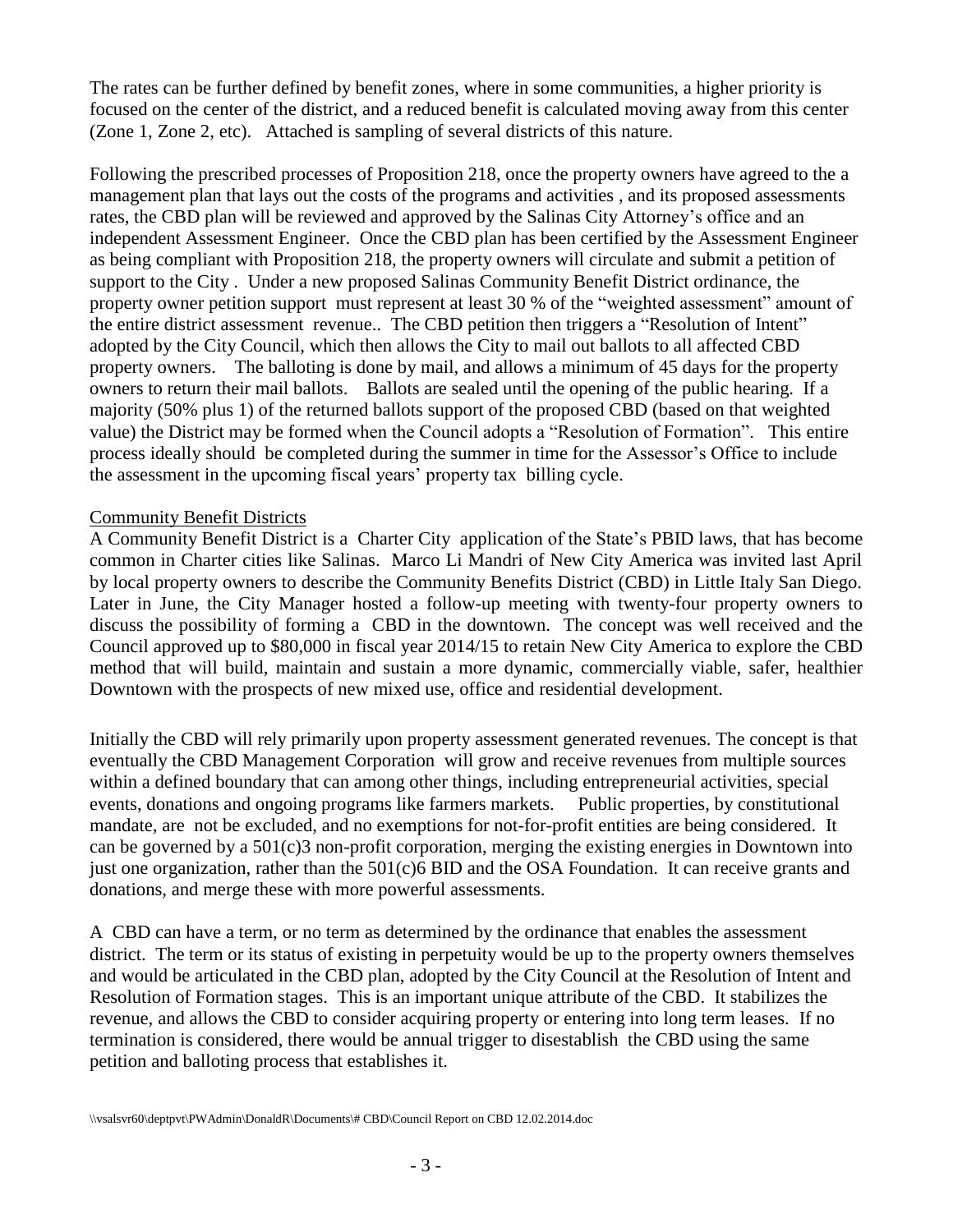The rates can be further defined by benefit zones, where in some communities, a higher priority is focused on the center of the district, and a reduced benefit is calculated moving away from this center (Zone 1, Zone 2, etc). Attached is sampling of several districts of this nature.

Following the prescribed processes of Proposition 218, once the property owners have agreed to the a management plan that lays out the costs of the programs and activities , and its proposed assessments rates, the CBD plan will be reviewed and approved by the Salinas City Attorney's office and an independent Assessment Engineer. Once the CBD plan has been certified by the Assessment Engineer as being compliant with Proposition 218, the property owners will circulate and submit a petition of support to the City . Under a new proposed Salinas Community Benefit District ordinance, the property owner petition support must represent at least 30 % of the "weighted assessment" amount of the entire district assessment revenue.. The CBD petition then triggers a "Resolution of Intent" adopted by the City Council, which then allows the City to mail out ballots to all affected CBD property owners. The balloting is done by mail, and allows a minimum of 45 days for the property owners to return their mail ballots. Ballots are sealed until the opening of the public hearing. If a majority (50% plus 1) of the returned ballots support of the proposed CBD (based on that weighted value) the District may be formed when the Council adopts a "Resolution of Formation". This entire process ideally should be completed during the summer in time for the Assessor's Office to include the assessment in the upcoming fiscal years' property tax billing cycle.

#### Community Benefit Districts

A Community Benefit District is a Charter City application of the State's PBID laws, that has become common in Charter cities like Salinas. Marco Li Mandri of New City America was invited last April by local property owners to describe the Community Benefits District (CBD) in Little Italy San Diego. Later in June, the City Manager hosted a follow-up meeting with twenty-four property owners to discuss the possibility of forming a CBD in the downtown. The concept was well received and the Council approved up to \$80,000 in fiscal year 2014/15 to retain New City America to explore the CBD method that will build, maintain and sustain a more dynamic, commercially viable, safer, healthier Downtown with the prospects of new mixed use, office and residential development.

Initially the CBD will rely primarily upon property assessment generated revenues. The concept is that eventually the CBD Management Corporation will grow and receive revenues from multiple sources within a defined boundary that can among other things, including entrepreneurial activities, special events, donations and ongoing programs like farmers markets. Public properties, by constitutional mandate, are not be excluded, and no exemptions for not-for-profit entities are being considered. It can be governed by a 501(c)3 non-profit corporation, merging the existing energies in Downtown into just one organization, rather than the 501(c)6 BID and the OSA Foundation. It can receive grants and donations, and merge these with more powerful assessments.

A CBD can have a term, or no term as determined by the ordinance that enables the assessment district. The term or its status of existing in perpetuity would be up to the property owners themselves and would be articulated in the CBD plan, adopted by the City Council at the Resolution of Intent and Resolution of Formation stages. This is an important unique attribute of the CBD. It stabilizes the revenue, and allows the CBD to consider acquiring property or entering into long term leases. If no termination is considered, there would be annual trigger to disestablish the CBD using the same petition and balloting process that establishes it.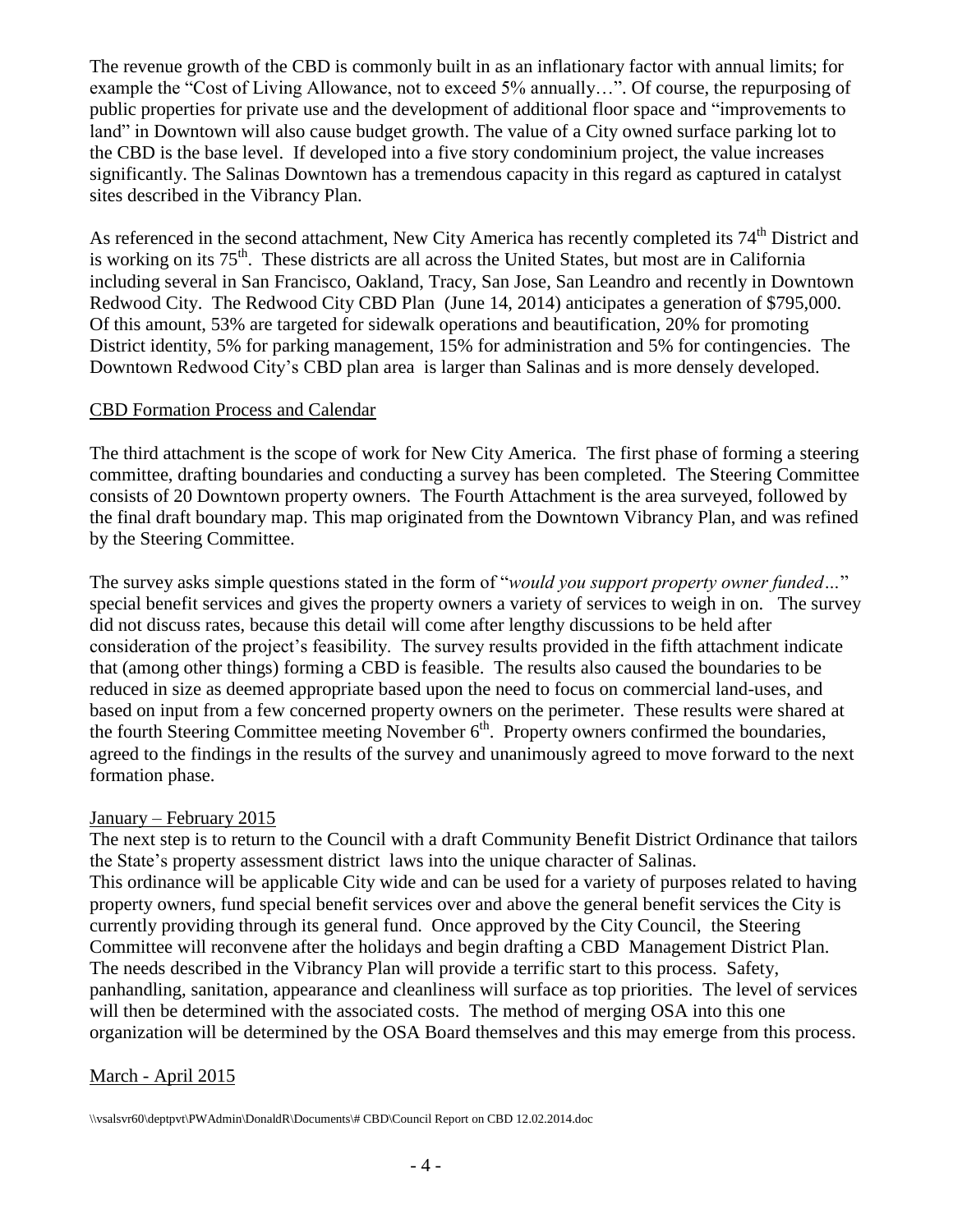The revenue growth of the CBD is commonly built in as an inflationary factor with annual limits; for example the "Cost of Living Allowance, not to exceed 5% annually…". Of course, the repurposing of public properties for private use and the development of additional floor space and "improvements to land" in Downtown will also cause budget growth. The value of a City owned surface parking lot to the CBD is the base level. If developed into a five story condominium project, the value increases significantly. The Salinas Downtown has a tremendous capacity in this regard as captured in catalyst sites described in the Vibrancy Plan.

As referenced in the second attachment, New City America has recently completed its 74<sup>th</sup> District and is working on its  $75<sup>th</sup>$ . These districts are all across the United States, but most are in California including several in San Francisco, Oakland, Tracy, San Jose, San Leandro and recently in Downtown Redwood City. The Redwood City CBD Plan (June 14, 2014) anticipates a generation of \$795,000. Of this amount, 53% are targeted for sidewalk operations and beautification, 20% for promoting District identity, 5% for parking management, 15% for administration and 5% for contingencies. The Downtown Redwood City's CBD plan area is larger than Salinas and is more densely developed.

#### CBD Formation Process and Calendar

The third attachment is the scope of work for New City America. The first phase of forming a steering committee, drafting boundaries and conducting a survey has been completed. The Steering Committee consists of 20 Downtown property owners. The Fourth Attachment is the area surveyed, followed by the final draft boundary map. This map originated from the Downtown Vibrancy Plan, and was refined by the Steering Committee.

The survey asks simple questions stated in the form of "*would you support property owner funded…*" special benefit services and gives the property owners a variety of services to weigh in on. The survey did not discuss rates, because this detail will come after lengthy discussions to be held after consideration of the project's feasibility. The survey results provided in the fifth attachment indicate that (among other things) forming a CBD is feasible. The results also caused the boundaries to be reduced in size as deemed appropriate based upon the need to focus on commercial land-uses, and based on input from a few concerned property owners on the perimeter. These results were shared at the fourth Steering Committee meeting November  $6<sup>th</sup>$ . Property owners confirmed the boundaries, agreed to the findings in the results of the survey and unanimously agreed to move forward to the next formation phase.

#### January – February 2015

The next step is to return to the Council with a draft Community Benefit District Ordinance that tailors the State's property assessment district laws into the unique character of Salinas. This ordinance will be applicable City wide and can be used for a variety of purposes related to having property owners, fund special benefit services over and above the general benefit services the City is currently providing through its general fund. Once approved by the City Council, the Steering Committee will reconvene after the holidays and begin drafting a CBD Management District Plan. The needs described in the Vibrancy Plan will provide a terrific start to this process. Safety, panhandling, sanitation, appearance and cleanliness will surface as top priorities. The level of services will then be determined with the associated costs. The method of merging OSA into this one organization will be determined by the OSA Board themselves and this may emerge from this process.

## March - April 2015

\\vsalsvr60\deptpvt\PWAdmin\DonaldR\Documents\# CBD\Council Report on CBD 12.02.2014.doc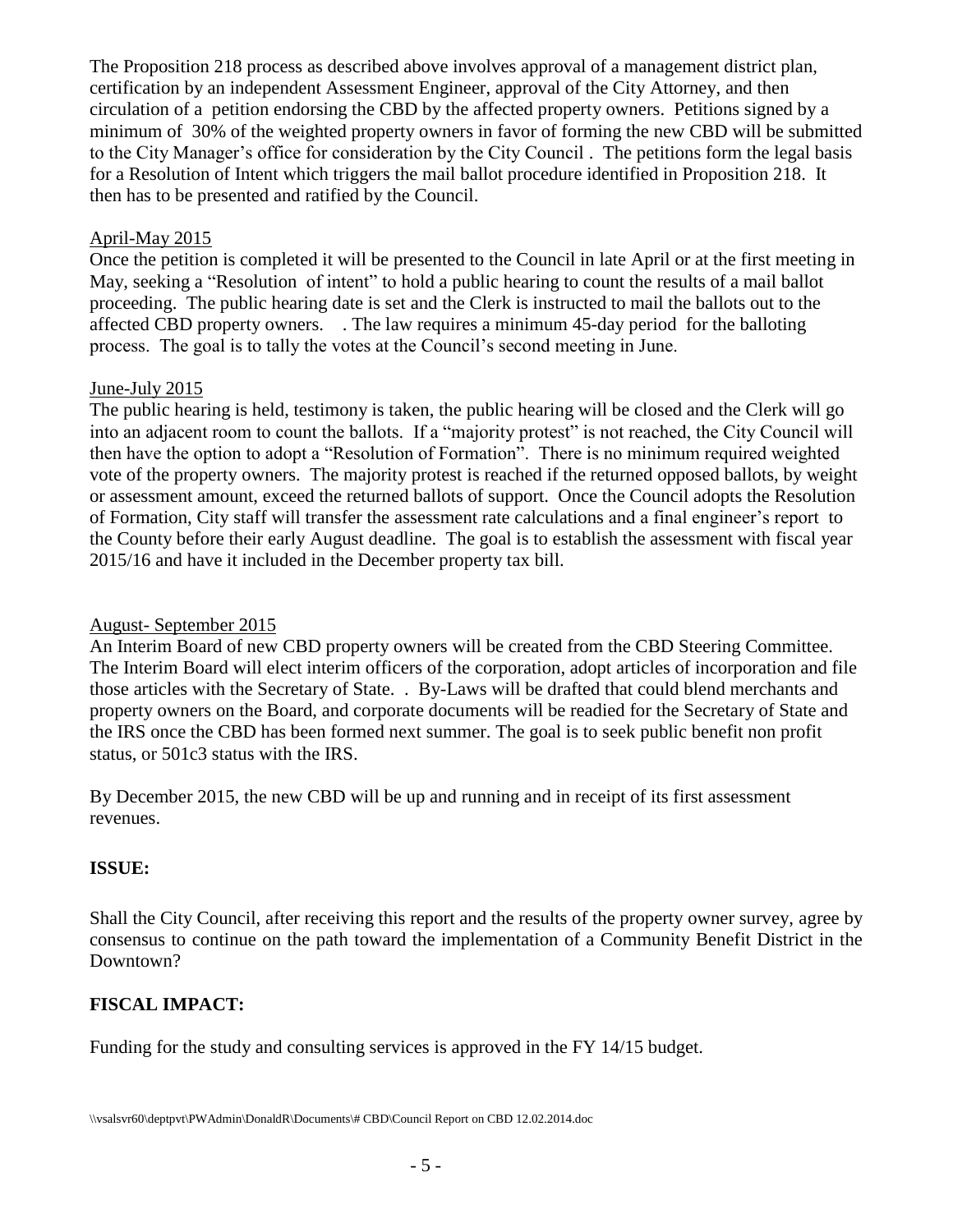The Proposition 218 process as described above involves approval of a management district plan, certification by an independent Assessment Engineer, approval of the City Attorney, and then circulation of a petition endorsing the CBD by the affected property owners. Petitions signed by a minimum of 30% of the weighted property owners in favor of forming the new CBD will be submitted to the City Manager's office for consideration by the City Council . The petitions form the legal basis for a Resolution of Intent which triggers the mail ballot procedure identified in Proposition 218. It then has to be presented and ratified by the Council.

## April-May 2015

Once the petition is completed it will be presented to the Council in late April or at the first meeting in May, seeking a "Resolution of intent" to hold a public hearing to count the results of a mail ballot proceeding. The public hearing date is set and the Clerk is instructed to mail the ballots out to the affected CBD property owners. . The law requires a minimum 45-day period for the balloting process. The goal is to tally the votes at the Council's second meeting in June.

## June-July 2015

The public hearing is held, testimony is taken, the public hearing will be closed and the Clerk will go into an adjacent room to count the ballots. If a "majority protest" is not reached, the City Council will then have the option to adopt a "Resolution of Formation". There is no minimum required weighted vote of the property owners. The majority protest is reached if the returned opposed ballots, by weight or assessment amount, exceed the returned ballots of support. Once the Council adopts the Resolution of Formation, City staff will transfer the assessment rate calculations and a final engineer's report to the County before their early August deadline. The goal is to establish the assessment with fiscal year 2015/16 and have it included in the December property tax bill.

## August- September 2015

An Interim Board of new CBD property owners will be created from the CBD Steering Committee. The Interim Board will elect interim officers of the corporation, adopt articles of incorporation and file those articles with the Secretary of State. . By-Laws will be drafted that could blend merchants and property owners on the Board, and corporate documents will be readied for the Secretary of State and the IRS once the CBD has been formed next summer. The goal is to seek public benefit non profit status, or 501c3 status with the IRS.

By December 2015, the new CBD will be up and running and in receipt of its first assessment revenues.

# **ISSUE:**

Shall the City Council, after receiving this report and the results of the property owner survey, agree by consensus to continue on the path toward the implementation of a Community Benefit District in the Downtown?

## **FISCAL IMPACT:**

Funding for the study and consulting services is approved in the FY 14/15 budget.